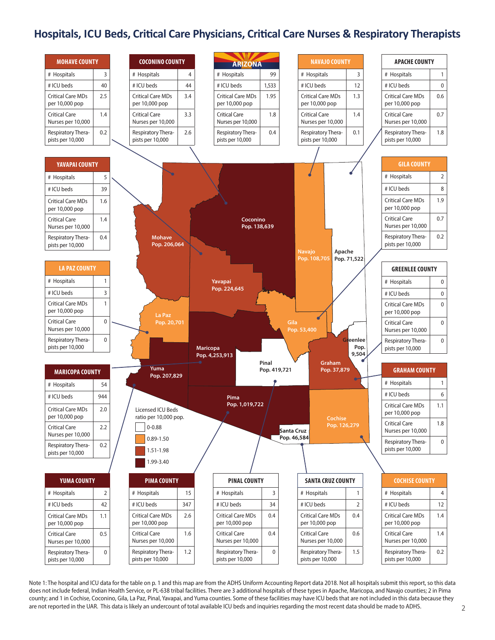# **Hospitals, ICU Beds, Critical Care Physicians, Critical Care Nurses & Respiratory Therapists**



Note 1: The hospital and ICU data for the table on p. 1 and this map are from the ADHS Uniform Accounting Report data 2018. Not all hospitals submit this report, so this data does not include federal, Indian Health Service, or PL-638 tribal facilities. There are 3 additional hospitals of these types in Apache, Maricopa, and Navajo counties; 2 in Pima county; and 1 in Cochise, Coconino, Gila, La Paz, Pinal, Yavapai, and Yuma counties. Some of these facilities may have ICU beds that are not included in this data because they are not reported in the UAR. This data is likely an undercount of total available ICU beds and inquiries regarding the most recent data should be made to ADHS. 2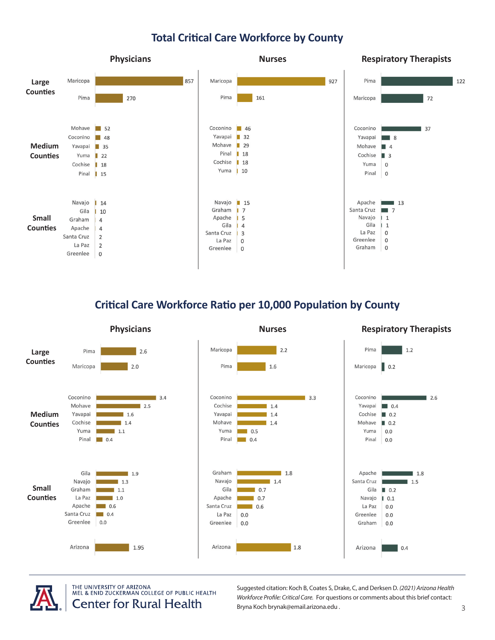# **Total Critical Care Workforce by County**



## **Critical Care Workforce Ratio per 10,000 Population by County**





THE UNIVERSITY OF ARIZONA MEL & ENID ZUCKERMAN COLLEGE OF PUBLIC HEALTH **Center for Rural Health** 

Suggested citation: Koch B, Coates S, Drake, C, and Derksen D. *(2021) Arizona Health Workforce Profile: Critical Care.* For questions or comments about this brief contact: Bryna Koch brynak@email.arizona.edu . 3